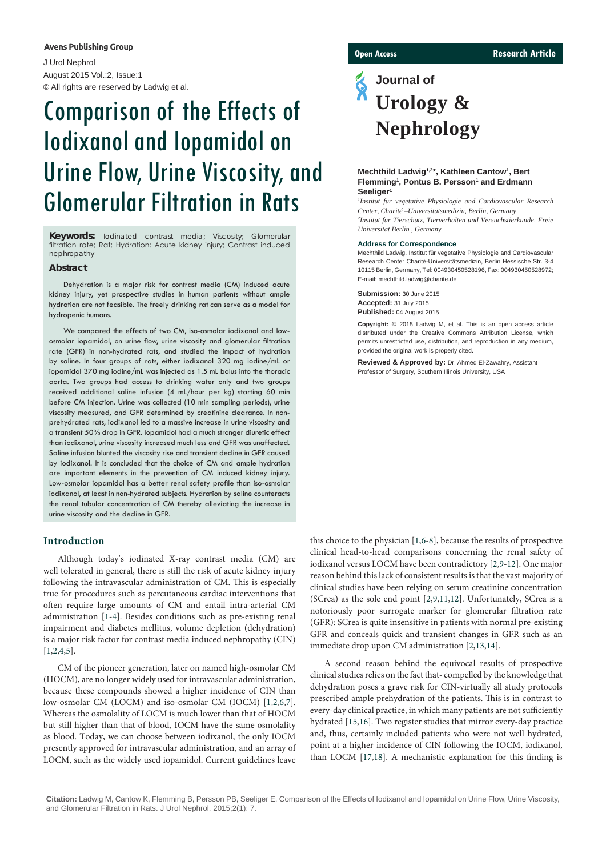#### **Avens Publishing Group**

J Urol Nephrol August 2015 Vol.:2, Issue:1 © All rights are reserved by Ladwig et al.

# Comparison of the Effects of Iodixanol and Iopamidol on Urine Flow, Urine Viscosity, and Glomerular Filtration in Rats

**Keywords:** Iodinated contrast media; Viscosity; Glomerular filtration rate; Rat; Hydration; Acute kidney injury; Contrast induced nephropathy

#### **Abstract**

Dehydration is a major risk for contrast media (CM) induced acute kidney injury, yet prospective studies in human patients without ample hydration are not feasible. The freely drinking rat can serve as a model for hydropenic humans.

We compared the effects of two CM, iso-osmolar iodixanol and lowosmolar iopamidol, on urine flow, urine viscosity and glomerular filtration rate (GFR) in non-hydrated rats, and studied the impact of hydration by saline. In four groups of rats, either iodixanol 320 mg iodine/mL or iopamidol 370 mg iodine/mL was injected as 1.5 mL bolus into the thoracic aorta. Two groups had access to drinking water only and two groups received additional saline infusion (4 mL/hour per kg) starting 60 min before CM injection. Urine was collected (10 min sampling periods), urine viscosity measured, and GFR determined by creatinine clearance. In nonprehydrated rats, iodixanol led to a massive increase in urine viscosity and a transient 50% drop in GFR. Iopamidol had a much stronger diuretic effect than iodixanol, urine viscosity increased much less and GFR was unaffected. Saline infusion blunted the viscosity rise and transient decline in GFR caused by iodixanol. It is concluded that the choice of CM and ample hydration are important elements in the prevention of CM induced kidney injury. Low-osmolar iopamidol has a better renal safety profile than iso-osmolar iodixanol, at least in non-hydrated subjects. Hydration by saline counteracts the renal tubular concentration of CM thereby alleviating the increase in urine viscosity and the decline in GFR.

#### **Introduction**

Although today's iodinated X-ray contrast media (CM) are well tolerated in general, there is still the risk of acute kidney injury following the intravascular administration of CM. This is especially true for procedures such as percutaneous cardiac interventions that often require large amounts of CM and entail intra-arterial CM administration [[1](#page-4-0)[-4\]](#page-4-1). Besides conditions such as pre-existing renal impairment and diabetes mellitus, volume depletion (dehydration) is a major risk factor for contrast media induced nephropathy (CIN) [[1,](#page-4-0)[2](#page-4-2)[,4,](#page-4-1)[5](#page-4-3)].

CM of the pioneer generation, later on named high-osmolar CM (HOCM), are no longer widely used for intravascular administration, because these compounds showed a higher incidence of CIN than low-osmolar CM (LOCM) and iso-osmolar CM (IOCM) [[1](#page-4-0)[,2,](#page-4-2)[6](#page-4-4)[,7](#page-4-5)]. Whereas the osmolality of LOCM is much lower than that of HOCM but still higher than that of blood, IOCM have the same osmolality as blood. Today, we can choose between iodixanol, the only IOCM presently approved for intravascular administration, and an array of LOCM, such as the widely used iopamidol. Current guidelines leave

#### **Open Access Research Article**

## **Journal of Urology & Nephrology**

#### **Mechthild Ladwig1,2\*, Kathleen Cantow1 , Bert**  Flemming<sup>1</sup>, Pontus B. Persson<sup>1</sup> and Erdmann **Seeliger1**

*1 Institut für vegetative Physiologie and Cardiovascular Research Center, Charité –Universitätsmedizin, Berlin, Germany 2 Institut für Tierschutz, Tierverhalten und Versuchstierkunde, Freie Universität Berlin , Germany*

#### **Address for Correspondence**

Mechthild Ladwig, Institut für vegetative Physiologie and Cardiovascular Research Center Charité-Universitätsmedizin, Berlin Hessische Str. 3-4 10115 Berlin, Germany, Tel: 004930450528196, Fax: 004930450528972; E-mail: mechthild.ladwig@charite.de

**Submission:** 30 June 2015 **Accepted:** 31 July 2015 **Published:** 04 August 2015

**Copyright:** © 2015 Ladwig M, et al. This is an open access article distributed under the Creative Commons Attribution License, which permits unrestricted use, distribution, and reproduction in any medium, provided the original work is properly cited.

**Reviewed & Approved by:** Dr. Ahmed El-Zawahry, Assistant Professor of Surgery, Southern Illinois University, USA

this choice to the physician [[1,](#page-4-0)[6](#page-4-4)[-8\]](#page-4-6), because the results of prospective clinical head-to-head comparisons concerning the renal safety of iodixanol versus LOCM have been contradictory [\[2,](#page-4-2)[9](#page-4-7)[-12\]](#page-4-8). One major reason behind this lack of consistent results is that the vast majority of clinical studies have been relying on serum creatinine concentration (SCrea) as the sole end point [[2](#page-4-2)[,9,](#page-4-7)[11](#page-4-9)[,12](#page-4-8)]. Unfortunately, SCrea is a notoriously poor surrogate marker for glomerular filtration rate (GFR): SCrea is quite insensitive in patients with normal pre-existing GFR and conceals quick and transient changes in GFR such as an immediate drop upon CM administration [[2](#page-4-2)[,13,](#page-4-10)[14\]](#page-4-11).

A second reason behind the equivocal results of prospective clinical studies relies on the fact that- compelled by the knowledge that dehydration poses a grave risk for CIN-virtually all study protocols prescribed ample prehydration of the patients. This is in contrast to every-day clinical practice, in which many patients are not sufficiently hydrated [\[15,](#page-5-0)[16\]](#page-5-1). Two register studies that mirror every-day practice and, thus, certainly included patients who were not well hydrated, point at a higher incidence of CIN following the IOCM, iodixanol, than LOCM [[17](#page-5-2)[,18\]](#page-5-3). A mechanistic explanation for this finding is

**Citation:** Ladwig M, Cantow K, Flemming B, Persson PB, Seeliger E. Comparison of the Effects of Iodixanol and Iopamidol on Urine Flow, Urine Viscosity, and Glomerular Filtration in Rats. J Urol Nephrol. 2015;2(1): 7.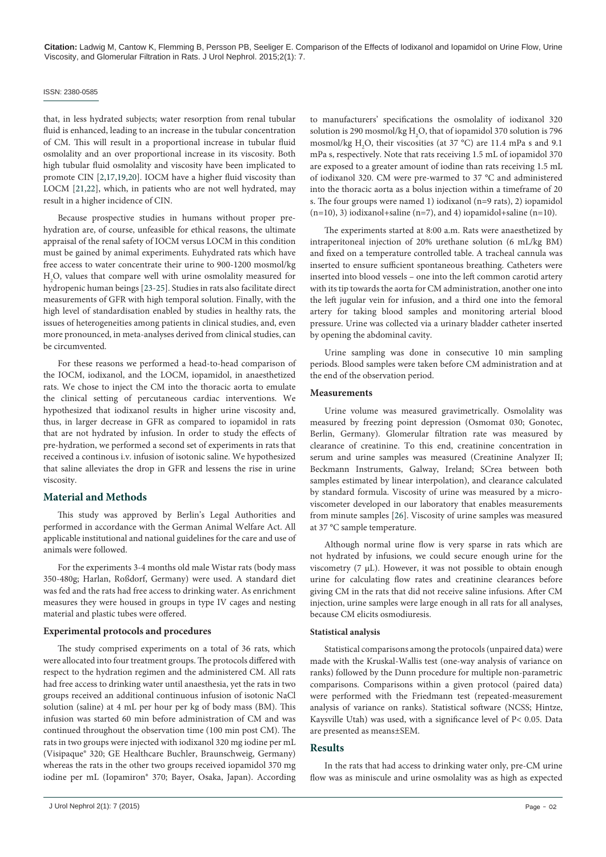#### ISSN: 2380-0585

that, in less hydrated subjects; water resorption from renal tubular fluid is enhanced, leading to an increase in the tubular concentration of CM. This will result in a proportional increase in tubular fluid osmolality and an over proportional increase in its viscosity. Both high tubular fluid osmolality and viscosity have been implicated to promote CIN [[2](#page-4-2)[,17](#page-5-2)[,19,](#page-5-4)[20](#page-5-5)]. IOCM have a higher fluid viscosity than LOCM [\[21](#page-5-6)[,22\]](#page-5-7), which, in patients who are not well hydrated, may result in a higher incidence of CIN.

Because prospective studies in humans without proper prehydration are, of course, unfeasible for ethical reasons, the ultimate appraisal of the renal safety of IOCM versus LOCM in this condition must be gained by animal experiments. Euhydrated rats which have free access to water concentrate their urine to 900-1200 mosmol/kg H2 O, values that compare well with urine osmolality measured for hydropenic human beings [\[23](#page-5-8)[-25\]](#page-5-9). Studies in rats also facilitate direct measurements of GFR with high temporal solution. Finally, with the high level of standardisation enabled by studies in healthy rats, the issues of heterogeneities among patients in clinical studies, and, even more pronounced, in meta-analyses derived from clinical studies, can be circumvented.

For these reasons we performed a head-to-head comparison of the IOCM, iodixanol, and the LOCM, iopamidol, in anaesthetized rats. We chose to inject the CM into the thoracic aorta to emulate the clinical setting of percutaneous cardiac interventions. We hypothesized that iodixanol results in higher urine viscosity and, thus, in larger decrease in GFR as compared to iopamidol in rats that are not hydrated by infusion. In order to study the effects of pre-hydration, we performed a second set of experiments in rats that received a continous i.v. infusion of isotonic saline. We hypothesized that saline alleviates the drop in GFR and lessens the rise in urine viscosity.

#### **Material and Methods**

This study was approved by Berlin's Legal Authorities and performed in accordance with the German Animal Welfare Act. All applicable institutional and national guidelines for the care and use of animals were followed.

For the experiments 3-4 months old male Wistar rats (body mass 350-480g; Harlan, Roßdorf, Germany) were used. A standard diet was fed and the rats had free access to drinking water. As enrichment measures they were housed in groups in type IV cages and nesting material and plastic tubes were offered.

#### **Experimental protocols and procedures**

The study comprised experiments on a total of 36 rats, which were allocated into four treatment groups. The protocols differed with respect to the hydration regimen and the administered CM. All rats had free access to drinking water until anaesthesia, yet the rats in two groups received an additional continuous infusion of isotonic NaCl solution (saline) at 4 mL per hour per kg of body mass (BM). This infusion was started 60 min before administration of CM and was continued throughout the observation time (100 min post CM). The rats in two groups were injected with iodixanol 320 mg iodine per mL (Visipaque® 320; GE Healthcare Buchler, Braunschweig, Germany) whereas the rats in the other two groups received iopamidol 370 mg iodine per mL (Iopamiron® 370; Bayer, Osaka, Japan). According to manufacturers' specifications the osmolality of iodixanol 320 solution is 290 mosmol/kg  $\rm H_2O,$  that of iopamidol 370 solution is 796 mosmol/kg  $H_2O$ , their viscosities (at 37 °C) are 11.4 mPa s and 9.1 mPa s, respectively. Note that rats receiving 1.5 mL of iopamidol 370 are exposed to a greater amount of iodine than rats receiving 1.5 mL of iodixanol 320. CM were pre-warmed to 37 °C and administered into the thoracic aorta as a bolus injection within a timeframe of 20 s. The four groups were named 1) iodixanol (n=9 rats), 2) iopamidol  $(n=10)$ , 3) iodixanol+saline  $(n=7)$ , and 4) iopamidol+saline  $(n=10)$ .

The experiments started at 8:00 a.m. Rats were anaesthetized by intraperitoneal injection of 20% urethane solution (6 mL/kg BM) and fixed on a temperature controlled table. A tracheal cannula was inserted to ensure sufficient spontaneous breathing. Catheters were inserted into blood vessels – one into the left common carotid artery with its tip towards the aorta for CM administration, another one into the left jugular vein for infusion, and a third one into the femoral artery for taking blood samples and monitoring arterial blood pressure. Urine was collected via a urinary bladder catheter inserted by opening the abdominal cavity.

Urine sampling was done in consecutive 10 min sampling periods. Blood samples were taken before CM administration and at the end of the observation period.

#### **Measurements**

Urine volume was measured gravimetrically. Osmolality was measured by freezing point depression (Osmomat 030; Gonotec, Berlin, Germany). Glomerular filtration rate was measured by clearance of creatinine. To this end, creatinine concentration in serum and urine samples was measured (Creatinine Analyzer II; Beckmann Instruments, Galway, Ireland; SCrea between both samples estimated by linear interpolation), and clearance calculated by standard formula. Viscosity of urine was measured by a microviscometer developed in our laboratory that enables measurements from minute samples [[26](#page-5-10)]. Viscosity of urine samples was measured at 37 °C sample temperature.

Although normal urine flow is very sparse in rats which are not hydrated by infusions, we could secure enough urine for the viscometry  $(7 \mu L)$ . However, it was not possible to obtain enough urine for calculating flow rates and creatinine clearances before giving CM in the rats that did not receive saline infusions. After CM injection, urine samples were large enough in all rats for all analyses, because CM elicits osmodiuresis.

#### **Statistical analysis**

Statistical comparisons among the protocols (unpaired data) were made with the Kruskal-Wallis test (one-way analysis of variance on ranks) followed by the Dunn procedure for multiple non-parametric comparisons. Comparisons within a given protocol (paired data) were performed with the Friedmann test (repeated-measurement analysis of variance on ranks). Statistical software (NCSS; Hintze, Kaysville Utah) was used, with a significance level of P< 0.05. Data are presented as means±SEM.

#### **Results**

In the rats that had access to drinking water only, pre-CM urine flow was as miniscule and urine osmolality was as high as expected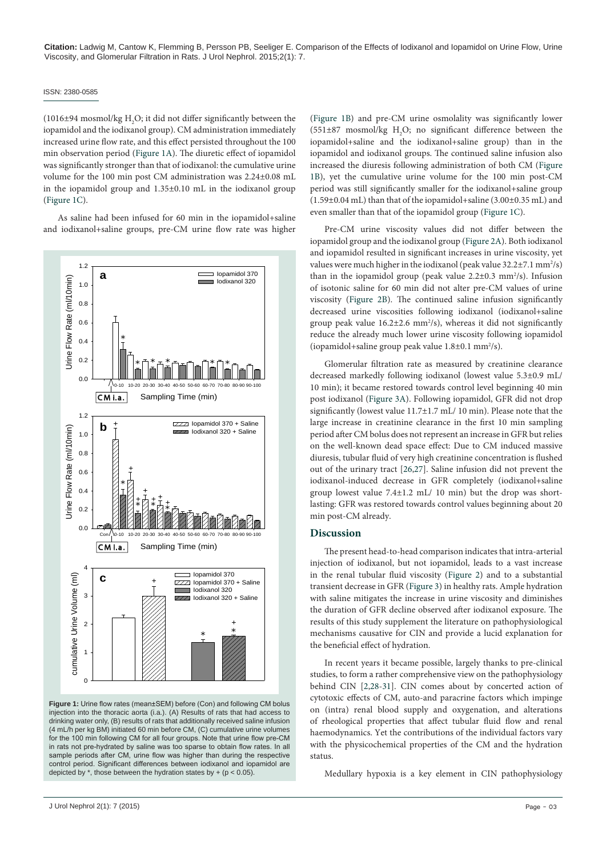#### ISSN: 2380-0585

(1016±94 mosmol/kg  $\rm H_2O$ ; it did not differ significantly between the iopamidol and the iodixanol group). CM administration immediately increased urine flow rate, and this effect persisted throughout the 100 min observation period [\(Figure 1A](#page-2-0)). The diuretic effect of iopamidol was significantly stronger than that of iodixanol: the cumulative urine volume for the 100 min post CM administration was 2.24±0.08 mL in the iopamidol group and 1.35±0.10 mL in the iodixanol group ([Figure 1C](#page-2-0)).

As saline had been infused for 60 min in the iopamidol+saline and iodixanol+saline groups, pre-CM urine flow rate was higher

<span id="page-2-0"></span>

**Figure 1:** Urine flow rates (mean±SEM) before (Con) and following CM bolus injection into the thoracic aorta (i.a.). (A) Results of rats that had access to drinking water only, (B) results of rats that additionally received saline infusion (4 mL/h per kg BM) initiated 60 min before CM, (C) cumulative urine volumes for the 100 min following CM for all four groups. Note that urine flow pre-CM in rats not pre-hydrated by saline was too sparse to obtain flow rates. In all sample periods after CM, urine flow was higher than during the respective control period. Significant differences between iodixanol and iopamidol are depicted by  $*$ , those between the hydration states by + (p < 0.05).

([Figure 1B\)](#page-2-0) and pre-CM urine osmolality was significantly lower  $(551\pm87 \text{ mosh}/\text{kg H}_2O; \text{ no significant difference between the}$ iopamidol+saline and the iodixanol+saline group) than in the iopamidol and iodixanol groups. The continued saline infusion also increased the diuresis following administration of both CM [\(Figure](#page-2-0) [1B](#page-2-0)), yet the cumulative urine volume for the 100 min post-CM period was still significantly smaller for the iodixanol+saline group (1.59±0.04 mL) than that of the iopamidol+saline (3.00±0.35 mL) and even smaller than that of the iopamidol group [\(Figure 1C\)](#page-2-0).

Pre-CM urine viscosity values did not differ between the iopamidol group and the iodixanol group [\(Figure 2A\)](#page-3-0). Both iodixanol and iopamidol resulted in significant increases in urine viscosity, yet values were much higher in the iodixanol (peak value  $32.2 \pm 7.1$  mm<sup>2</sup>/s) than in the iopamidol group (peak value  $2.2 \pm 0.3$  mm<sup>2</sup>/s). Infusion of isotonic saline for 60 min did not alter pre-CM values of urine viscosity [\(Figure 2B\)](#page-3-0). The continued saline infusion significantly decreased urine viscosities following iodixanol (iodixanol+saline group peak value  $16.2 \pm 2.6$  mm<sup>2</sup>/s), whereas it did not significantly reduce the already much lower urine viscosity following iopamidol (iopamidol+saline group peak value  $1.8 \pm 0.1$  mm<sup>2</sup>/s).

Glomerular filtration rate as measured by creatinine clearance decreased markedly following iodixanol (lowest value 5.3±0.9 mL/ 10 min); it became restored towards control level beginning 40 min post iodixanol [\(Figure 3A\)](#page-3-1). Following iopamidol, GFR did not drop significantly (lowest value 11.7±1.7 mL/ 10 min). Please note that the large increase in creatinine clearance in the first 10 min sampling period after CM bolus does not represent an increase in GFR but relies on the well-known dead space effect: Due to CM induced massive diuresis, tubular fluid of very high creatinine concentration is flushed out of the urinary tract [\[26](#page-5-10)[,27\]](#page-5-11). Saline infusion did not prevent the iodixanol-induced decrease in GFR completely (iodixanol+saline group lowest value 7.4±1.2 mL/ 10 min) but the drop was shortlasting: GFR was restored towards control values beginning about 20 min post-CM already.

#### **Discussion**

The present head-to-head comparison indicates that intra-arterial injection of iodixanol, but not iopamidol, leads to a vast increase in the renal tubular fluid viscosity [\(Figure 2\)](#page-3-0) and to a substantial transient decrease in GFR ([Figure 3](#page-3-1)) in healthy rats. Ample hydration with saline mitigates the increase in urine viscosity and diminishes the duration of GFR decline observed after iodixanol exposure. The results of this study supplement the literature on pathophysiological mechanisms causative for CIN and provide a lucid explanation for the beneficial effect of hydration.

In recent years it became possible, largely thanks to pre-clinical studies, to form a rather comprehensive view on the pathophysiology behind CIN [\[2,](#page-4-2)[28](#page-5-12)-[31](#page-5-13)]. CIN comes about by concerted action of cytotoxic effects of CM, auto-and paracrine factors which impinge on (intra) renal blood supply and oxygenation, and alterations of rheological properties that affect tubular fluid flow and renal haemodynamics. Yet the contributions of the individual factors vary with the physicochemical properties of the CM and the hydration status.

Medullary hypoxia is a key element in CIN pathophysiology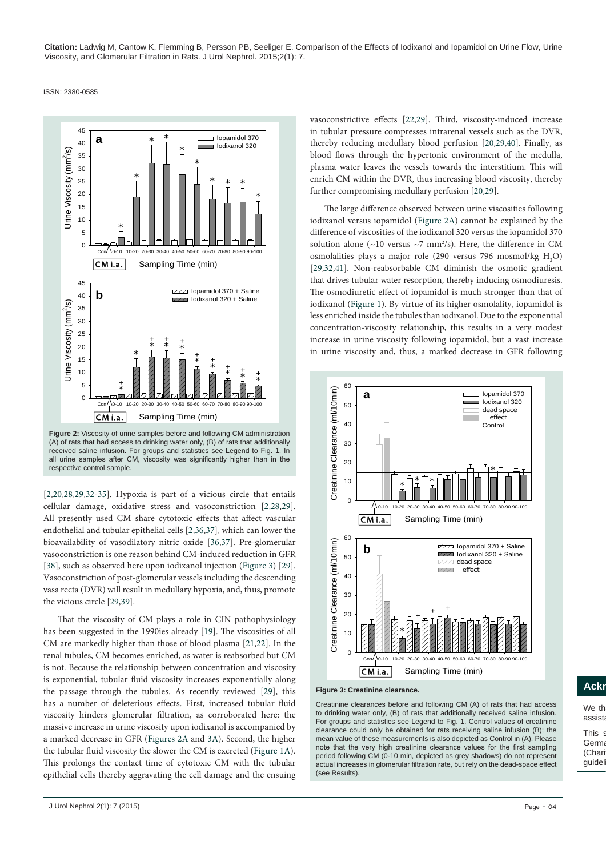<span id="page-3-0"></span>ISSN: 2380-0585



**Figure 2:** Viscosity of urine samples before and following CM administration (A) of rats that had access to drinking water only, (B) of rats that additionally received saline infusion. For groups and statistics see Legend to Fig. 1. In all urine samples after CM, viscosity was significantly higher than in the respective control sample.

[[2,](#page-4-2)[20,](#page-5-5)[28](#page-5-12)[,29](#page-5-14)[,32-](#page-5-16)[35\]](#page-5-18). Hypoxia is part of a vicious circle that entails cellular damage, oxidative stress and vasoconstriction [[2](#page-4-2)[,28,](#page-5-12)[29](#page-5-14)]. All presently used CM share cytotoxic effects that affect vascular endothelial and tubular epithelial cells [\[2](#page-4-2),[36](#page-5-19)[,37\]](#page-5-20), which can lower the bioavailability of vasodilatory nitric oxide [[36](#page-5-19)[,37](#page-5-20)]. Pre-glomerular vasoconstriction is one reason behind CM-induced reduction in GFR [[38](#page-5-21)], such as observed here upon iodixanol injection [\(Figure 3](#page-3-1)) [[29](#page-5-14)]. Vasoconstriction of post-glomerular vessels including the descending vasa recta (DVR) will result in medullary hypoxia, and, thus, promote the vicious circle [\[29,](#page-5-14)[39](#page-5-22)].

That the viscosity of CM plays a role in CIN pathophysiology has been suggested in the 1990ies already [\[19](#page-5-4)]. The viscosities of all CM are markedly higher than those of blood plasma [\[21](#page-5-6)[,22\]](#page-5-7). In the renal tubules, CM becomes enriched, as water is reabsorbed but CM is not. Because the relationship between concentration and viscosity is exponential, tubular fluid viscosity increases exponentially along the passage through the tubules. As recently reviewed [\[29\]](#page-5-14), this has a number of deleterious effects. First, increased tubular fluid viscosity hinders glomerular filtration, as corroborated here: the massive increase in urine viscosity upon iodixanol is accompanied by a marked decrease in GFR [\(Figures 2A](#page-3-0) and [3A](#page-3-1)). Second, the higher the tubular fluid viscosity the slower the CM is excreted [\(Figure 1A](#page-2-0)). This prolongs the contact time of cytotoxic CM with the tubular epithelial cells thereby aggravating the cell damage and the ensuing vasoconstrictive effects [\[22](#page-5-7)[,29\]](#page-5-14). Third, viscosity-induced increase in tubular pressure compresses intrarenal vessels such as the DVR, thereby reducing medullary blood perfusion [[20](#page-5-5)[,29,](#page-5-14)[40\]](#page-5-15). Finally, as blood flows through the hypertonic environment of the medulla, plasma water leaves the vessels towards the interstitium. This will enrich CM within the DVR, thus increasing blood viscosity, thereby further compromising medullary perfusion [[20](#page-5-5)[,29](#page-5-14)].

The large difference observed between urine viscosities following iodixanol versus iopamidol [\(Figure 2A](#page-3-0)) cannot be explained by the difference of viscosities of the iodixanol 320 versus the iopamidol 370 solution alone ( $\sim$ 10 versus  $\sim$ 7 mm<sup>2</sup>/s). Here, the difference in CM osmolalities plays a major role (290 versus 796 mosmol/kg  $H_2O$ ) [[29](#page-5-14)[,32](#page-5-16)[,41\]](#page-5-17). Non-reabsorbable CM diminish the osmotic gradient that drives tubular water resorption, thereby inducing osmodiuresis. The osmodiuretic effect of iopamidol is much stronger than that of iodixanol ([Figure 1\)](#page-2-0). By virtue of its higher osmolality, iopamidol is less enriched inside the tubules than iodixanol. Due to the exponential concentration-viscosity relationship, this results in a very modest increase in urine viscosity following iopamidol, but a vast increase in urine viscosity and, thus, a marked decrease in GFR following

<span id="page-3-1"></span>

**Figure 3: Creatinine clearance.**

Creatinine clearances before and following CM (A) of rats that had access to drinking water only, (B) of rats that additionally received saline infusion. For groups and statistics see Legend to Fig. 1. Control values of creatinine clearance could only be obtained for rats receiving saline infusion (B); the mean value of these measurements is also depicted as Control in (A). Please note that the very high creatinine clearance values for the first sampling period following CM (0-10 min, depicted as grey shadows) do not represent actual increases in glomerular filtration rate, but rely on the dead-space effect (see Results).

### **Ackn**

We the assist This s

guidel

Germa (Charit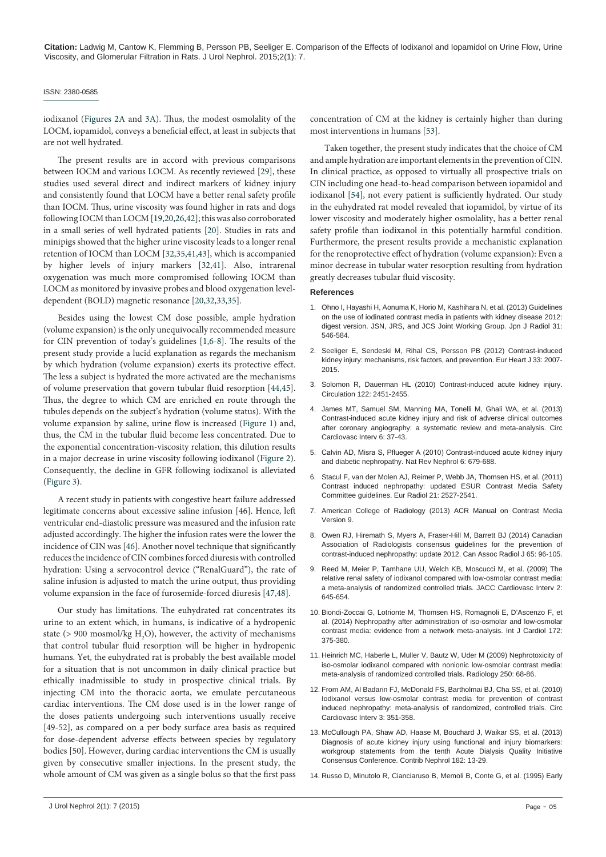#### ISSN: 2380-0585

iodixanol ([Figures 2A](#page-3-0) and [3A](#page-3-1)). Thus, the modest osmolality of the LOCM, iopamidol, conveys a beneficial effect, at least in subjects that are not well hydrated.

The present results are in accord with previous comparisons between IOCM and various LOCM. As recently reviewed [[29\]](#page-5-14), these studies used several direct and indirect markers of kidney injury and consistently found that LOCM have a better renal safety profile than IOCM. Thus, urine viscosity was found higher in rats and dogs following IOCM than LOCM [[19,](#page-5-4)[20](#page-5-5)[,26](#page-5-10)[,42\]](#page-5-23); this was also corroborated in a small series of well hydrated patients [[20](#page-5-5)]. Studies in rats and minipigs showed that the higher urine viscosity leads to a longer renal retention of IOCM than LOCM [[32](#page-5-16)[,35,](#page-5-18)[41,](#page-5-17)[43](#page-5-24)], which is accompanied by higher levels of injury markers [[32,](#page-5-16)[41](#page-5-17)]. Also, intrarenal oxygenation was much more compromised following IOCM than LOCM as monitored by invasive probes and blood oxygenation leveldependent (BOLD) magnetic resonance [[20](#page-5-5)[,32,](#page-5-16)[33,](#page-5-25)[35](#page-5-18)].

Besides using the lowest CM dose possible, ample hydration (volume expansion) is the only unequivocally recommended measure for CIN prevention of today's guidelines [\[1,](#page-4-0)[6](#page-4-4)[-8](#page-4-6)]. The results of the present study provide a lucid explanation as regards the mechanism by which hydration (volume expansion) exerts its protective effect. The less a subject is hydrated the more activated are the mechanisms of volume preservation that govern tubular fluid resorption [\[44,](#page-5-26)[45](#page-5-27)]. Thus, the degree to which CM are enriched en route through the tubules depends on the subject's hydration (volume status). With the volume expansion by saline, urine flow is increased [\(Figure 1\)](#page-2-0) and, thus, the CM in the tubular fluid become less concentrated. Due to the exponential concentration-viscosity relation, this dilution results in a major decrease in urine viscosity following iodixanol [\(Figure 2](#page-3-0)). Consequently, the decline in GFR following iodixanol is alleviated ([Figure 3](#page-3-1)).

A recent study in patients with congestive heart failure addressed legitimate concerns about excessive saline infusion [46]. Hence, left ventricular end-diastolic pressure was measured and the infusion rate adjusted accordingly. The higher the infusion rates were the lower the incidence of CIN was [[46](#page-5-28)]. Another novel technique that significantly reduces the incidence of CIN combines forced diuresis with controlled hydration: Using a servocontrol device ("RenalGuard"), the rate of saline infusion is adjusted to match the urine output, thus providing volume expansion in the face of furosemide-forced diuresis [\[47,](#page-5-29)[48\]](#page-5-30).

Our study has limitations. The euhydrated rat concentrates its urine to an extent which, in humans, is indicative of a hydropenic state (> 900 mosmol/kg  $H_2O$ ), however, the activity of mechanisms that control tubular fluid resorption will be higher in hydropenic humans. Yet, the euhydrated rat is probably the best available model for a situation that is not uncommon in daily clinical practice but ethically inadmissible to study in prospective clinical trials. By injecting CM into the thoracic aorta, we emulate percutaneous cardiac interventions. The CM dose used is in the lower range of the doses patients undergoing such interventions usually receive [49-52], as compared on a per body surface area basis as required for dose-dependent adverse effects between species by regulatory bodies [50]. However, during cardiac interventions the CM is usually given by consecutive smaller injections. In the present study, the whole amount of CM was given as a single bolus so that the first pass

Taken together, the present study indicates that the choice of CM and ample hydration are important elements in the prevention of CIN. In clinical practice, as opposed to virtually all prospective trials on CIN including one head-to-head comparison between iopamidol and iodixanol [[54\]](#page-6-1), not every patient is sufficiently hydrated. Our study in the euhydrated rat model revealed that iopamidol, by virtue of its lower viscosity and moderately higher osmolality, has a better renal safety profile than iodixanol in this potentially harmful condition. Furthermore, the present results provide a mechanistic explanation for the renoprotective effect of hydration (volume expansion): Even a minor decrease in tubular water resorption resulting from hydration greatly decreases tubular fluid viscosity.

#### **References**

- <span id="page-4-0"></span>1. [Ohno I, Hayashi H, Aonuma K, Horio M, Kashihara N, et al. \(2013\) Guidelines](http://www.ncbi.nlm.nih.gov/pubmed/23884513)  [on the use of iodinated contrast media in patients with kidney disease 2012:](http://www.ncbi.nlm.nih.gov/pubmed/23884513)  [digest version. JSN, JRS, and JCS Joint Working Group. Jpn J Radiol 31:](http://www.ncbi.nlm.nih.gov/pubmed/23884513)  [546-584.](http://www.ncbi.nlm.nih.gov/pubmed/23884513)
- <span id="page-4-2"></span>2. [Seeliger E, Sendeski M, Rihal CS, Persson PB \(2012\) Contrast-induced](http://www.ncbi.nlm.nih.gov/pubmed/22267241)  [kidney injury: mechanisms, risk factors, and prevention. Eur Heart J 33: 2007-](http://www.ncbi.nlm.nih.gov/pubmed/22267241) [2015.](http://www.ncbi.nlm.nih.gov/pubmed/22267241)
- 3. [Solomon R, Dauerman HL \(2010\) Contrast-induced acute kidney injury.](http://www.ncbi.nlm.nih.gov/pubmed/21135373)  [Circulation 122: 2451-2455.](http://www.ncbi.nlm.nih.gov/pubmed/21135373)
- <span id="page-4-1"></span>4. [James MT, Samuel SM, Manning MA, Tonelli M, Ghali WA, et al. \(2013\)](http://www.ncbi.nlm.nih.gov/pubmed/23322741)  [Contrast-induced acute kidney injury and risk of adverse clinical outcomes](http://www.ncbi.nlm.nih.gov/pubmed/23322741)  [after coronary angiography: a systematic review and meta-analysis. Circ](http://www.ncbi.nlm.nih.gov/pubmed/23322741)  [Cardiovasc Interv 6: 37-43.](http://www.ncbi.nlm.nih.gov/pubmed/23322741)
- <span id="page-4-3"></span>5. [Calvin AD, Misra S, Pflueger A \(2010\) Contrast-induced acute kidney injury](http://www.ncbi.nlm.nih.gov/pubmed/20877303)  [and diabetic nephropathy. Nat Rev Nephrol 6: 679-688.](http://www.ncbi.nlm.nih.gov/pubmed/20877303)
- <span id="page-4-4"></span>6. [Stacul F, van der Molen AJ, Reimer P, Webb JA, Thomsen HS, et al. \(2011\)](http://www.ncbi.nlm.nih.gov/pubmed/21866433)  [Contrast induced nephropathy: updated ESUR Contrast Media Safety](http://www.ncbi.nlm.nih.gov/pubmed/21866433)  [Committee guidelines. Eur Radiol 21: 2527-2541.](http://www.ncbi.nlm.nih.gov/pubmed/21866433)
- <span id="page-4-5"></span>7. [American College of Radiology \(2013\) ACR Manual on Contrast Media](http://www.acr.org/Quality-Safety/Resources/Contrast-Manual)  [Version 9.](http://www.acr.org/Quality-Safety/Resources/Contrast-Manual)
- <span id="page-4-6"></span>8. [Owen RJ, Hiremath S, Myers A, Fraser-Hill M, Barrett BJ \(2014\) Canadian](http://www.ncbi.nlm.nih.gov/pubmed/24559602)  [Association of Radiologists consensus guidelines for the prevention of](http://www.ncbi.nlm.nih.gov/pubmed/24559602)  [contrast-induced nephropathy: update 2012. Can Assoc Radiol J 65: 96-105.](http://www.ncbi.nlm.nih.gov/pubmed/24559602)
- <span id="page-4-7"></span>9. [Reed M, Meier P, Tamhane UU, Welch KB, Moscucci M, et al. \(2009\) The](http://www.ncbi.nlm.nih.gov/pubmed/19628188)  [relative renal safety of iodixanol compared with low-osmolar contrast media:](http://www.ncbi.nlm.nih.gov/pubmed/19628188)  [a meta-analysis of randomized controlled trials. JACC Cardiovasc Interv 2:](http://www.ncbi.nlm.nih.gov/pubmed/19628188)  [645-654.](http://www.ncbi.nlm.nih.gov/pubmed/19628188)
- 10. [Biondi-Zoccai G, Lotrionte M, Thomsen HS, Romagnoli E, D'Ascenzo F, et](http://www.ncbi.nlm.nih.gov/pubmed/24502883)  [al. \(2014\) Nephropathy after administration of iso-osmolar and low-osmolar](http://www.ncbi.nlm.nih.gov/pubmed/24502883)  [contrast media: evidence from a network meta-analysis. Int J Cardiol 172:](http://www.ncbi.nlm.nih.gov/pubmed/24502883)  [375-380.](http://www.ncbi.nlm.nih.gov/pubmed/24502883)
- <span id="page-4-9"></span>11. [Heinrich MC, Haberle L, Muller V, Bautz W, Uder M \(2009\) Nephrotoxicity of](http://www.ncbi.nlm.nih.gov/pubmed/19092091)  [iso-osmolar iodixanol compared with nonionic low-osmolar contrast media:](http://www.ncbi.nlm.nih.gov/pubmed/19092091)  [meta-analysis of randomized controlled trials. Radiology 250: 68-86.](http://www.ncbi.nlm.nih.gov/pubmed/19092091)
- <span id="page-4-8"></span>12. [From AM, Al Badarin FJ, McDonald FS, Bartholmai BJ, Cha SS, et al. \(2010\)](http://www.ncbi.nlm.nih.gov/pubmed/20647563)  [Iodixanol versus low-osmolar contrast media for prevention of contrast](http://www.ncbi.nlm.nih.gov/pubmed/20647563)  [induced nephropathy: meta-analysis of randomized, controlled trials. Circ](http://www.ncbi.nlm.nih.gov/pubmed/20647563)  [Cardiovasc Interv 3: 351-358.](http://www.ncbi.nlm.nih.gov/pubmed/20647563)
- <span id="page-4-10"></span>13. [McCullough PA, Shaw AD, Haase M, Bouchard J, Waikar SS, et al. \(2013\)](http://www.ncbi.nlm.nih.gov/pubmed/23689653)  [Diagnosis of acute kidney injury using functional and injury biomarkers:](http://www.ncbi.nlm.nih.gov/pubmed/23689653)  [workgroup statements from the tenth Acute Dialysis Quality Initiative](http://www.ncbi.nlm.nih.gov/pubmed/23689653)  [Consensus Conference. Contrib Nephrol 182: 13-29.](http://www.ncbi.nlm.nih.gov/pubmed/23689653)
- <span id="page-4-11"></span>14. [Russo D, Minutolo R, Cianciaruso B, Memoli B, Conte G, et al. \(1995\) Early](http://www.ncbi.nlm.nih.gov/pubmed/8589322)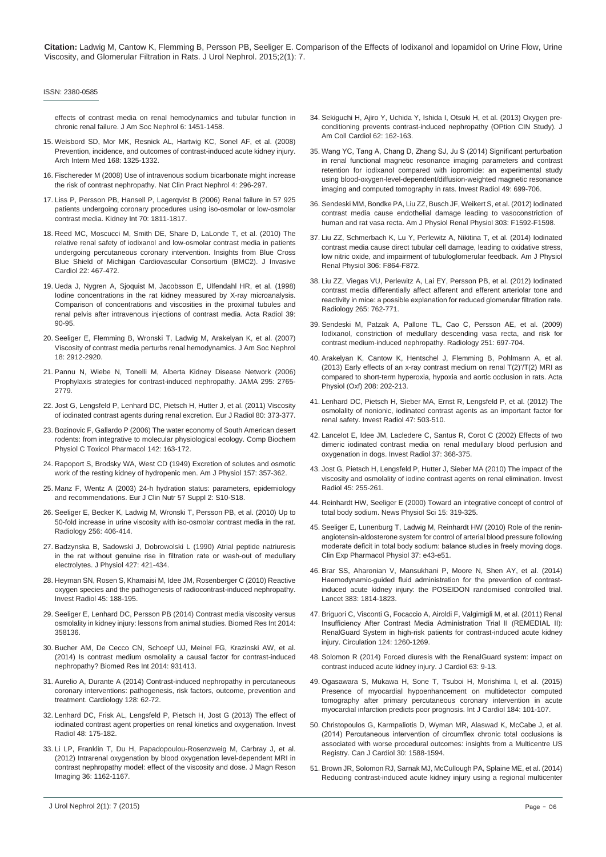#### ISSN: 2380-0585

[effects of contrast media on renal hemodynamics and tubular function in](http://www.ncbi.nlm.nih.gov/pubmed/8589322)  [chronic renal failure. J Am Soc Nephrol 6: 1451-1458.](http://www.ncbi.nlm.nih.gov/pubmed/8589322)

- <span id="page-5-0"></span>15. [Weisbord SD, Mor MK, Resnick AL, Hartwig KC, Sonel AF, et al. \(2008\)](http://www.ncbi.nlm.nih.gov/pubmed/18574090)  [Prevention, incidence, and outcomes of contrast-induced acute kidney injury.](http://www.ncbi.nlm.nih.gov/pubmed/18574090)  [Arch Intern Med 168: 1325-1332.](http://www.ncbi.nlm.nih.gov/pubmed/18574090)
- <span id="page-5-1"></span>16. [Fischereder M \(2008\) Use of intravenous sodium bicarbonate might increase](http://www.ncbi.nlm.nih.gov/pubmed/18414460)  [the risk of contrast nephropathy. Nat Clin Pract Nephrol 4: 296-297.](http://www.ncbi.nlm.nih.gov/pubmed/18414460)
- <span id="page-5-2"></span>17. [Liss P, Persson PB, Hansell P, Lagerqvist B \(2006\) Renal failure in 57 925](http://www.ncbi.nlm.nih.gov/pubmed/17003814)  [patients undergoing coronary procedures using iso-osmolar or low-osmolar](http://www.ncbi.nlm.nih.gov/pubmed/17003814)  [contrast media. Kidney Int 70: 1811-1817.](http://www.ncbi.nlm.nih.gov/pubmed/17003814)
- <span id="page-5-3"></span>18. [Reed MC, Moscucci M, Smith DE, Share D, LaLonde T, et al. \(2010\) The](http://www.ncbi.nlm.nih.gov/pubmed/20944185)  [relative renal safety of iodixanol and low-osmolar contrast media in patients](http://www.ncbi.nlm.nih.gov/pubmed/20944185)  [undergoing percutaneous coronary intervention. Insights from Blue Cross](http://www.ncbi.nlm.nih.gov/pubmed/20944185)  [Blue Shield of Michigan Cardiovascular Consortium \(BMC2\). J Invasive](http://www.ncbi.nlm.nih.gov/pubmed/20944185)  [Cardiol 22: 467-472.](http://www.ncbi.nlm.nih.gov/pubmed/20944185)
- <span id="page-5-4"></span>19. [Ueda J, Nygren A, Sjoquist M, Jacobsson E, Ulfendahl HR, et al. \(1998\)](http://www.ncbi.nlm.nih.gov/pubmed/9498878)  [Iodine concentrations in the rat kidney measured by X-ray microanalysis.](http://www.ncbi.nlm.nih.gov/pubmed/9498878)  [Comparison of concentrations and viscosities in the proximal tubules and](http://www.ncbi.nlm.nih.gov/pubmed/9498878)  [renal pelvis after intravenous injections of contrast media. Acta Radiol 39:](http://www.ncbi.nlm.nih.gov/pubmed/9498878)  [90-95.](http://www.ncbi.nlm.nih.gov/pubmed/9498878)
- <span id="page-5-5"></span>20. [Seeliger E, Flemming B, Wronski T, Ladwig M, Arakelyan K, et al. \(2007\)](http://www.ncbi.nlm.nih.gov/pubmed/17942967)  [Viscosity of contrast media perturbs renal hemodynamics. J Am Soc Nephrol](http://www.ncbi.nlm.nih.gov/pubmed/17942967)  [18: 2912-2920.](http://www.ncbi.nlm.nih.gov/pubmed/17942967)
- <span id="page-5-6"></span>21. [Pannu N, Wiebe N, Tonelli M, Alberta](http://www.ncbi.nlm.nih.gov/pubmed/16788132) Kidney Disease Network (2006) [Prophylaxis strategies for contrast-induced nephropathy. JAMA 295: 2765-](http://www.ncbi.nlm.nih.gov/pubmed/16788132) [2779.](http://www.ncbi.nlm.nih.gov/pubmed/16788132)
- <span id="page-5-7"></span>22. [Jost G, Lengsfeld P, Lenhard DC, Pietsch H, Hutter J, et al. \(2011\) Viscosity](http://www.ncbi.nlm.nih.gov/pubmed/21376497)  [of iodinated contrast agents during renal excretion. Eur J Radiol 80: 373-377.](http://www.ncbi.nlm.nih.gov/pubmed/21376497)
- <span id="page-5-8"></span>23. [Bozinovic F, Gallardo P \(2006\) The water economy of South American desert](http://www.ncbi.nlm.nih.gov/pubmed/16198637)  [rodents: from integrative to molecular physiological ecology. Comp Biochem](http://www.ncbi.nlm.nih.gov/pubmed/16198637)  [Physiol C Toxicol Pharmacol 142: 163-172.](http://www.ncbi.nlm.nih.gov/pubmed/16198637)
- 24. [Rapoport S, Brodsky WA, West CD \(1949\) Excretion of solutes and osmotic](http://www.ncbi.nlm.nih.gov/pubmed/18151741)  [work of the resting kidney of hydropenic men. Am J Physiol 157: 357-362.](http://www.ncbi.nlm.nih.gov/pubmed/18151741)
- <span id="page-5-9"></span>25. [Manz F, Wentz A \(2003\) 24-h hydration status: parameters, epidemiology](http://www.ncbi.nlm.nih.gov/pubmed/14681708)  [and recommendations. Eur J Clin Nutr 57 Suppl 2: S10-S18.](http://www.ncbi.nlm.nih.gov/pubmed/14681708)
- <span id="page-5-10"></span>26. [Seeliger E, Becker K, Ladwig M, Wronski T, Persson PB, et al. \(2010\) Up to](http://www.ncbi.nlm.nih.gov/pubmed/20529990)  [50-fold increase in urine viscosity with iso-osmolar contrast media in the rat.](http://www.ncbi.nlm.nih.gov/pubmed/20529990)  [Radiology 256: 406-414.](http://www.ncbi.nlm.nih.gov/pubmed/20529990)
- <span id="page-5-11"></span>27. [Badzynska B, Sadowski J, Dobrowolski L \(1990\) Atrial peptide natriuresis](http://www.ncbi.nlm.nih.gov/pubmed/2145427)  [in the rat without genuine rise in filtration rate or wash-out of medullary](http://www.ncbi.nlm.nih.gov/pubmed/2145427)  [electrolytes. J Physiol 427: 421-434.](http://www.ncbi.nlm.nih.gov/pubmed/2145427)
- <span id="page-5-12"></span>28. [Heyman SN, Rosen S, Khamaisi M, Idee JM, Rosenberger C \(2010\) Reactive](http://www.ncbi.nlm.nih.gov/pubmed/20195159)  [oxygen species and the pathogenesis of radiocontrast-induced nephropathy.](http://www.ncbi.nlm.nih.gov/pubmed/20195159)  [Invest Radiol 45: 188-195.](http://www.ncbi.nlm.nih.gov/pubmed/20195159)
- <span id="page-5-14"></span>29. [Seeliger E, Lenhard DC, Persson PB \(2014\) Contrast media viscosity versus](http://www.ncbi.nlm.nih.gov/pubmed/24707482)  [osmolality in kidney injury: lessons from animal studies. Biomed Res Int 2014:](http://www.ncbi.nlm.nih.gov/pubmed/24707482)  [358136.](http://www.ncbi.nlm.nih.gov/pubmed/24707482)
- 30. [Bucher AM, De Cecco CN, Schoepf UJ, Meinel FG, Krazinski AW, et al.](http://www.ncbi.nlm.nih.gov/pubmed/24800254)  [\(2014\) Is contrast medium osmolality a causal factor for contrast-induced](http://www.ncbi.nlm.nih.gov/pubmed/24800254)  [nephropathy? Biomed Res Int 2014: 931413.](http://www.ncbi.nlm.nih.gov/pubmed/24800254)
- <span id="page-5-13"></span>31. [Aurelio A, Durante A \(2014\) Contrast-induced nephropathy in percutaneous](http://www.ncbi.nlm.nih.gov/pubmed/24557146)  [coronary interventions: pathogenesis, risk factors, outcome, prevention and](http://www.ncbi.nlm.nih.gov/pubmed/24557146)  [treatment. Cardiology 128: 62-72.](http://www.ncbi.nlm.nih.gov/pubmed/24557146)
- <span id="page-5-16"></span>32. [Lenhard DC, Frisk AL, Lengsfeld P, Pietsch H, Jost G \(2013\) The effect of](http://www.ncbi.nlm.nih.gov/pubmed/23262792)  [iodinated contrast agent properties on renal kinetics and oxygenation. Invest](http://www.ncbi.nlm.nih.gov/pubmed/23262792)  [Radiol 48: 175-182.](http://www.ncbi.nlm.nih.gov/pubmed/23262792)
- <span id="page-5-25"></span>33. [Li LP, Franklin T, Du H, Papadopoulou-Rosenzweig M, Carbray J, et al.](http://www.ncbi.nlm.nih.gov/pubmed/22826125)  [\(2012\) Intrarenal oxygenation by blood oxygenation level-dependent MRI in](http://www.ncbi.nlm.nih.gov/pubmed/22826125)  [contrast nephropathy model: effect of the viscosity and dose. J Magn Reson](http://www.ncbi.nlm.nih.gov/pubmed/22826125)  [Imaging 36: 1162-1167.](http://www.ncbi.nlm.nih.gov/pubmed/22826125)
- 34. [Sekiguchi H, Ajiro Y, Uchida Y, Ishida I, Otsuki H, et al. \(2013\) Oxygen pre](http://www.ncbi.nlm.nih.gov/pubmed/23643590)[conditioning prevents contrast-induced nephropathy \(OPtion CIN Study\). J](http://www.ncbi.nlm.nih.gov/pubmed/23643590)  [Am Coll Cardiol 62: 162-163.](http://www.ncbi.nlm.nih.gov/pubmed/23643590)
- <span id="page-5-18"></span>35. [Wang YC, Tang A, Chang D, Zhang SJ, Ju S \(2014\) Significant perturbation](http://www.ncbi.nlm.nih.gov/pubmed/24879299)  [in renal functional magnetic resonance imaging parameters and contrast](http://www.ncbi.nlm.nih.gov/pubmed/24879299)  [retention for iodixanol compared with iopromide: an experimental study](http://www.ncbi.nlm.nih.gov/pubmed/24879299)  [using blood-oxygen-level-dependent/diffusion-weighted magnetic resonance](http://www.ncbi.nlm.nih.gov/pubmed/24879299)  [imaging and computed tomography in rats. Invest Radiol 49: 699-706.](http://www.ncbi.nlm.nih.gov/pubmed/24879299)
- <span id="page-5-19"></span>36. [Sendeski MM, Bondke PA, Liu ZZ, Busch JF, Weikert S, et al. \(2012\) Iodinated](http://www.ncbi.nlm.nih.gov/pubmed/23077094)  [contrast media cause endothelial damage leading to vasoconstriction of](http://www.ncbi.nlm.nih.gov/pubmed/23077094)  [human and rat vasa recta. Am J Physiol Renal Physiol 303: F1592-F1598.](http://www.ncbi.nlm.nih.gov/pubmed/23077094)
- <span id="page-5-20"></span>37. [Liu ZZ, Schmerbach K, Lu Y, Perlewitz A, Nikitina T, et al. \(2014\) Iodinated](http://www.ncbi.nlm.nih.gov/pubmed/24431205)  [contrast media cause direct tubular cell damage, leading to oxidative stress,](http://www.ncbi.nlm.nih.gov/pubmed/24431205)  [low nitric oxide, and impairment of tubuloglomerular feedback. Am J Physiol](http://www.ncbi.nlm.nih.gov/pubmed/24431205)  [Renal Physiol 306: F864-F872.](http://www.ncbi.nlm.nih.gov/pubmed/24431205)
- <span id="page-5-21"></span>38. [Liu ZZ, Viegas VU, Perlewitz A, Lai EY, Persson PB, et al. \(2012\) Iodinated](http://www.ncbi.nlm.nih.gov/pubmed/23023964)  [contrast media differentially affect afferent and efferent arteriolar tone and](http://www.ncbi.nlm.nih.gov/pubmed/23023964)  [reactivity in mice: a possible explanation for reduced glomerular filtration rate.](http://www.ncbi.nlm.nih.gov/pubmed/23023964)  [Radiology 265: 762-771.](http://www.ncbi.nlm.nih.gov/pubmed/23023964)
- <span id="page-5-22"></span>39. [Sendeski M, Patzak A, Pallone TL, Cao C, Persson AE, et al. \(2009\)](http://www.ncbi.nlm.nih.gov/pubmed/19366904)  [Iodixanol, constriction of medullary descending vasa recta, and risk for](http://www.ncbi.nlm.nih.gov/pubmed/19366904)  [contrast medium-induced nephropathy. Radiology 251: 697-704.](http://www.ncbi.nlm.nih.gov/pubmed/19366904)
- <span id="page-5-15"></span>40. [Arakelyan K, Cantow K, Hentschel J, Flemming B, Pohlmann A, et al.](http://www.ncbi.nlm.nih.gov/pubmed/23480578)  (2013) Early effects of an x-ray contrast medium on renal  $T(2)$ <sup>'</sup>/ $T(2)$  MRI as [compared to short-term hyperoxia, hypoxia and aortic occlusion in rats. Acta](http://www.ncbi.nlm.nih.gov/pubmed/23480578)  [Physiol \(Oxf\) 208: 202-213.](http://www.ncbi.nlm.nih.gov/pubmed/23480578)
- <span id="page-5-17"></span>41. [Lenhard DC, Pietsch H, Sieber MA, Ernst R, Lengsfeld P, et al. \(2012\) The](http://www.ncbi.nlm.nih.gov/pubmed/22864374)  [osmolality of nonionic, iodinated contrast agents as an important factor for](http://www.ncbi.nlm.nih.gov/pubmed/22864374)  [renal safety. Invest Radiol 47: 503-510.](http://www.ncbi.nlm.nih.gov/pubmed/22864374)
- <span id="page-5-23"></span>42. [Lancelot E, Idee JM, Lacledere C, Santus R, Corot C \(2002\) Effects of two](http://www.ncbi.nlm.nih.gov/pubmed/12068157)  [dimeric iodinated contrast media on renal medullary blood perfusion and](http://www.ncbi.nlm.nih.gov/pubmed/12068157)  [oxygenation in dogs. Invest Radiol 37: 368-375.](http://www.ncbi.nlm.nih.gov/pubmed/12068157)
- <span id="page-5-24"></span>43. [Jost G, Pietsch H, Lengsfeld P, Hutter J, Sieber MA \(2010\) The impact of the](http://www.ncbi.nlm.nih.gov/pubmed/20375847)  [viscosity and osmolality of iodine contrast agents on renal elimination. Invest](http://www.ncbi.nlm.nih.gov/pubmed/20375847)  [Radiol 45: 255-261.](http://www.ncbi.nlm.nih.gov/pubmed/20375847)
- <span id="page-5-26"></span>44. [Reinhardt HW, Seeliger E \(2000\) Toward an integrative concept of control of](http://www.ncbi.nlm.nih.gov/pubmed/11390935)  [total body sodium. News Physiol Sci 15: 319-325.](http://www.ncbi.nlm.nih.gov/pubmed/11390935)
- <span id="page-5-27"></span>45. [Seeliger E, Lunenburg T, Ladwig M, Reinhardt HW \(2010\) Role of the renin](http://www.ncbi.nlm.nih.gov/pubmed/19930429)[angiotensin-aldosterone system for control of arterial blood pressure following](http://www.ncbi.nlm.nih.gov/pubmed/19930429)  [moderate deficit in total body sodium: balance studies in freely moving dogs.](http://www.ncbi.nlm.nih.gov/pubmed/19930429)  [Clin Exp Pharmacol Physiol 37: e43-e51.](http://www.ncbi.nlm.nih.gov/pubmed/19930429)
- <span id="page-5-28"></span>46. [Brar SS, Aharonian V, Mansukhani P, Moore N, Shen AY, et al. \(2014\)](http://www.ncbi.nlm.nih.gov/pubmed/24856027)  [Haemodynamic-guided fluid administration for the prevention of contrast](http://www.ncbi.nlm.nih.gov/pubmed/24856027)[induced acute kidney injury: the POSEIDON randomised controlled trial.](http://www.ncbi.nlm.nih.gov/pubmed/24856027)  [Lancet 383: 1814-1823.](http://www.ncbi.nlm.nih.gov/pubmed/24856027)
- <span id="page-5-29"></span>47. [Briguori C, Visconti G, Focaccio A, Airoldi F, Valgimigli M, et al. \(2011\) Renal](http://www.ncbi.nlm.nih.gov/pubmed/21844075)  [Insufficiency After Contrast Media Administration Trial II \(REMEDIAL II\):](http://www.ncbi.nlm.nih.gov/pubmed/21844075)  [RenalGuard System in high-risk patients for contrast-induced acute kidney](http://www.ncbi.nlm.nih.gov/pubmed/21844075)  [injury. Circulation 124: 1260-1269.](http://www.ncbi.nlm.nih.gov/pubmed/21844075)
- <span id="page-5-30"></span>48. [Solomon R \(2014\) Forced diuresis with the RenalGuard system: impact on](http://www.ncbi.nlm.nih.gov/pubmed/24239195)  [contrast induced acute kidney injury. J Cardiol 63: 9-13.](http://www.ncbi.nlm.nih.gov/pubmed/24239195)
- 49. [Ogasawara S, Mukawa H, Sone T, Tsuboi H, Morishima I, et al. \(2015\)](http://www.ncbi.nlm.nih.gov/pubmed/25697877)  [Presence of myocardial hypoenhancement on multidetector computed](http://www.ncbi.nlm.nih.gov/pubmed/25697877)  [tomography after primary percutaneous coronary intervention in acute](http://www.ncbi.nlm.nih.gov/pubmed/25697877)  [myocardial infarction predicts poor prognosis. Int J Cardiol 184: 101-107.](http://www.ncbi.nlm.nih.gov/pubmed/25697877)
- 50. [Christopoulos G, Karmpaliotis D, Wyman MR, Alaswad K, McCabe J, et al.](http://www.ncbi.nlm.nih.gov/pubmed/25442459)  [\(2014\) Percutaneous intervention of circumflex chronic total occlusions is](http://www.ncbi.nlm.nih.gov/pubmed/25442459)  [associated with worse procedural outcomes: insights from a Multicentre US](http://www.ncbi.nlm.nih.gov/pubmed/25442459)  [Registry. Can J Cardiol 30: 1588-1594.](http://www.ncbi.nlm.nih.gov/pubmed/25442459)
- 51. [Brown JR, Solomon RJ, Sarnak MJ, McCullough PA, Splaine ME, et al. \(2014\)](http://www.ncbi.nlm.nih.gov/pubmed/25074372)  [Reducing contrast-induced acute kidney injury using a regional multicenter](http://www.ncbi.nlm.nih.gov/pubmed/25074372)